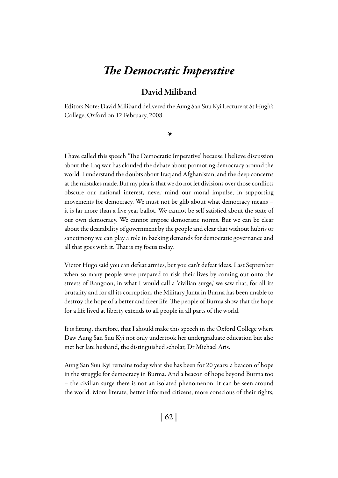# *The Democratic Imperative*

# David Miliband

Editors Note: David Miliband delivered the Aung San Suu Kyi Lecture at St Hugh's College, Oxford on 12 February, 2008.

*\**

I have called this speech 'The Democratic Imperative' because I believe discussion about the Iraq war has clouded the debate about promoting democracy around the world. I understand the doubts about Iraq and Afghanistan, and the deep concerns at the mistakes made. But my plea is that we do not let divisions over those conflicts obscure our national interest, never mind our moral impulse, in supporting movements for democracy. We must not be glib about what democracy means – it is far more than a five year ballot. We cannot be self satisfied about the state of our own democracy. We cannot impose democratic norms. But we can be clear about the desirability of government by the people and clear that without hubris or sanctimony we can play a role in backing demands for democratic governance and all that goes with it. That is my focus today.

Victor Hugo said you can defeat armies, but you can't defeat ideas. Last September when so many people were prepared to risk their lives by coming out onto the streets of Rangoon, in what I would call a 'civilian surge,' we saw that, for all its brutality and for all its corruption, the Military Junta in Burma has been unable to destroy the hope of a better and freer life. The people of Burma show that the hope for a life lived at liberty extends to all people in all parts of the world.

It is fitting, therefore, that I should make this speech in the Oxford College where Daw Aung San Suu Kyi not only undertook her undergraduate education but also met her late husband, the distinguished scholar, Dr Michael Aris.

Aung San Suu Kyi remains today what she has been for 20 years: a beacon of hope in the struggle for democracy in Burma. And a beacon of hope beyond Burma too – the civilian surge there is not an isolated phenomenon. It can be seen around the world. More literate, better informed citizens, more conscious of their rights,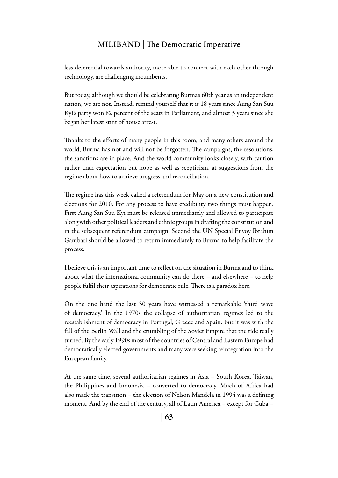less deferential towards authority, more able to connect with each other through technology, are challenging incumbents.

But today, although we should be celebrating Burma's 60th year as an independent nation, we are not. Instead, remind yourself that it is 18 years since Aung San Suu Kyi's party won 82 percent of the seats in Parliament, and almost 5 years since she began her latest stint of house arrest.

Thanks to the efforts of many people in this room, and many others around the world, Burma has not and will not be forgotten. The campaigns, the resolutions, the sanctions are in place. And the world community looks closely, with caution rather than expectation but hope as well as scepticism, at suggestions from the regime about how to achieve progress and reconciliation.

The regime has this week called a referendum for May on a new constitution and elections for 2010. For any process to have credibility two things must happen. First Aung San Suu Kyi must be released immediately and allowed to participate along with other political leaders and ethnic groups in drafting the constitution and in the subsequent referendum campaign. Second the UN Special Envoy Ibrahim Gambari should be allowed to return immediately to Burma to help facilitate the process.

I believe this is an important time to reflect on the situation in Burma and to think about what the international community can do there – and elsewhere – to help people fulfil their aspirations for democratic rule. There is a paradox here.

On the one hand the last 30 years have witnessed a remarkable 'third wave of democracy.' In the 1970s the collapse of authoritarian regimes led to the reestablishment of democracy in Portugal, Greece and Spain. But it was with the fall of the Berlin Wall and the crumbling of the Soviet Empire that the tide really turned. By the early 1990s most of the countries of Central and Eastern Europe had democratically elected governments and many were seeking reintegration into the European family.

At the same time, several authoritarian regimes in Asia – South Korea, Taiwan, the Philippines and Indonesia – converted to democracy. Much of Africa had also made the transition – the election of Nelson Mandela in 1994 was a defining moment. And by the end of the century, all of Latin America – except for Cuba –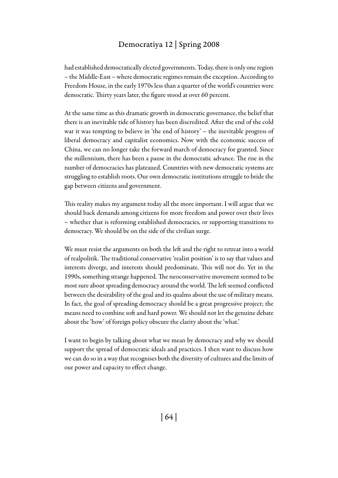had established democratically elected governments. Today, there is only one region – the Middle-East – where democratic regimes remain the exception. According to Freedom House, in the early 1970s less than a quarter of the world's countries were democratic. Thirty years later, the figure stood at over 60 percent.

At the same time as this dramatic growth in democratic governance, the belief that there is an inevitable tide of history has been discredited. After the end of the cold war it was tempting to believe in 'the end of history' – the inevitable progress of liberal democracy and capitalist economics. Now with the economic success of China, we can no longer take the forward march of democracy for granted. Since the millennium, there has been a pause in the democratic advance. The rise in the number of democracies has plateaued. Countries with new democratic systems are struggling to establish roots. Our own democratic institutions struggle to bride the gap between citizens and government.

This reality makes my argument today all the more important. I will argue that we should back demands among citizens for more freedom and power over their lives – whether that is reforming established democracies, or supporting transitions to democracy. We should be on the side of the civilian surge.

We must resist the arguments on both the left and the right to retreat into a world of realpolitik. The traditional conservative 'realist position' is to say that values and interests diverge, and interests should predominate. This will not do. Yet in the 1990s, something strange happened. The neoconservative movement seemed to be most sure about spreading democracy around the world. The left seemed conflicted between the desirability of the goal and its qualms about the use of military means. In fact, the goal of spreading democracy should be a great progressive project; the means need to combine soft and hard power. We should not let the genuine debate about the 'how' of foreign policy obscure the clarity about the 'what.'

I want to begin by talking about what we mean by democracy and why we should support the spread of democratic ideals and practices. I then want to discuss how we can do so in a way that recognises both the diversity of cultures and the limits of our power and capacity to effect change.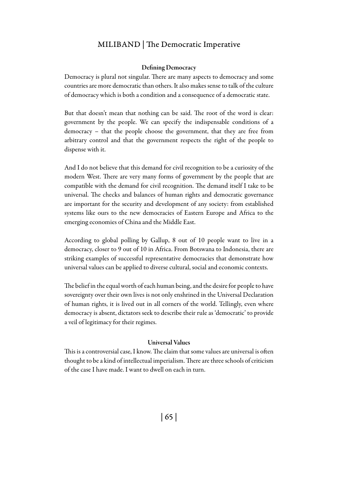#### Defining Democracy

Democracy is plural not singular. There are many aspects to democracy and some countries are more democratic than others. It also makes sense to talk of the culture of democracy which is both a condition and a consequence of a democratic state.

But that doesn't mean that nothing can be said. The root of the word is clear: government by the people. We can specify the indispensable conditions of a democracy – that the people choose the government, that they are free from arbitrary control and that the government respects the right of the people to dispense with it.

And I do not believe that this demand for civil recognition to be a curiosity of the modern West. There are very many forms of government by the people that are compatible with the demand for civil recognition. The demand itself I take to be universal. The checks and balances of human rights and democratic governance are important for the security and development of any society: from established systems like ours to the new democracies of Eastern Europe and Africa to the emerging economies of China and the Middle East.

According to global polling by Gallup, 8 out of 10 people want to live in a democracy, closer to 9 out of 10 in Africa. From Botswana to Indonesia, there are striking examples of successful representative democracies that demonstrate how universal values can be applied to diverse cultural, social and economic contexts.

The belief in the equal worth of each human being, and the desire for people to have sovereignty over their own lives is not only enshrined in the Universal Declaration of human rights, it is lived out in all corners of the world. Tellingly, even where democracy is absent, dictators seek to describe their rule as 'democratic' to provide a veil of legitimacy for their regimes.

#### Universal Values

This is a controversial case, I know. The claim that some values are universal is often thought to be a kind of intellectual imperialism. There are three schools of criticism of the case I have made. I want to dwell on each in turn.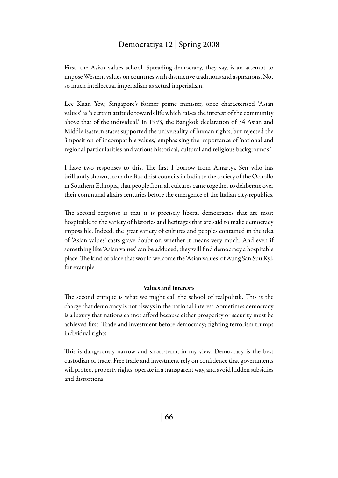First, the Asian values school. Spreading democracy, they say, is an attempt to impose Western values on countries with distinctive traditions and aspirations. Not so much intellectual imperialism as actual imperialism.

Lee Kuan Yew, Singapore's former prime minister, once characterised 'Asian values' as 'a certain attitude towards life which raises the interest of the community above that of the individual.' In 1993, the Bangkok declaration of 34 Asian and Middle Eastern states supported the universality of human rights, but rejected the 'imposition of incompatible values,' emphasising the importance of 'national and regional particularities and various historical, cultural and religious backgrounds.'

I have two responses to this. The first I borrow from Amartya Sen who has brilliantly shown, from the Buddhist councils in India to the society of the Ochollo in Southern Ethiopia, that people from all cultures came together to deliberate over their communal affairs centuries before the emergence of the Italian city-republics.

The second response is that it is precisely liberal democracies that are most hospitable to the variety of histories and heritages that are said to make democracy impossible. Indeed, the great variety of cultures and peoples contained in the idea of 'Asian values' casts grave doubt on whether it means very much. And even if something like 'Asian values' can be adduced, they will find democracy a hospitable place. The kind of place that would welcome the 'Asian values' of Aung San Suu Kyi, for example.

#### Values and Interests

The second critique is what we might call the school of realpolitik. This is the charge that democracy is not always in the national interest. Sometimes democracy is a luxury that nations cannot afford because either prosperity or security must be achieved first. Trade and investment before democracy; fighting terrorism trumps individual rights.

This is dangerously narrow and short-term, in my view. Democracy is the best custodian of trade. Free trade and investment rely on confidence that governments will protect property rights, operate in a transparent way, and avoid hidden subsidies and distortions.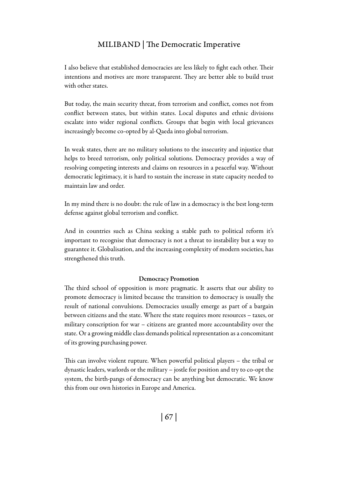I also believe that established democracies are less likely to fight each other. Their intentions and motives are more transparent. They are better able to build trust with other states.

But today, the main security threat, from terrorism and conflict, comes not from conflict between states, but within states. Local disputes and ethnic divisions escalate into wider regional conflicts. Groups that begin with local grievances increasingly become co-opted by al-Qaeda into global terrorism.

In weak states, there are no military solutions to the insecurity and injustice that helps to breed terrorism, only political solutions. Democracy provides a way of resolving competing interests and claims on resources in a peaceful way. Without democratic legitimacy, it is hard to sustain the increase in state capacity needed to maintain law and order.

In my mind there is no doubt: the rule of law in a democracy is the best long-term defense against global terrorism and conflict.

And in countries such as China seeking a stable path to political reform it's important to recognise that democracy is not a threat to instability but a way to guarantee it. Globalisation, and the increasing complexity of modern societies, has strengthened this truth.

#### Democracy Promotion

The third school of opposition is more pragmatic. It asserts that our ability to promote democracy is limited because the transition to democracy is usually the result of national convulsions. Democracies usually emerge as part of a bargain between citizens and the state. Where the state requires more resources – taxes, or military conscription for war – citizens are granted more accountability over the state. Or a growing middle class demands political representation as a concomitant of its growing purchasing power.

This can involve violent rupture. When powerful political players – the tribal or dynastic leaders, warlords or the military – jostle for position and try to co-opt the system, the birth-pangs of democracy can be anything but democratic. We know this from our own histories in Europe and America.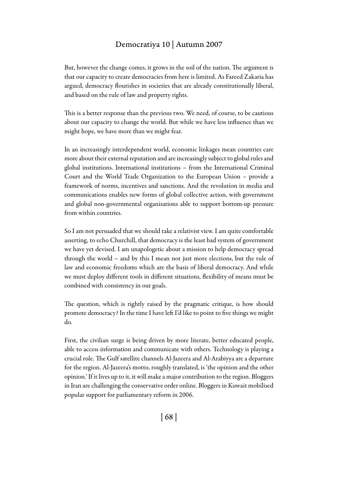## Democratiya 10 | Autumn 2007

But, however the change comes, it grows in the soil of the nation. The argument is that our capacity to create democracies from here is limited. As Fareed Zakaria has argued, democracy flourishes in societies that are already constitutionally liberal, and based on the rule of law and property rights.

This is a better response than the previous two. We need, of course, to be cautious about our capacity to change the world. But while we have less influence than we might hope, we have more than we might fear.

In an increasingly interdependent world, economic linkages mean countries care more about their external reputation and are increasingly subject to global rules and global institutions. International institutions – from the International Criminal Court and the World Trade Organization to the European Union – provide a framework of norms, incentives and sanctions. And the revolution in media and communications enables new forms of global collective action, with government and global non-governmental organisations able to support bottom-up pressure from within countries.

So I am not persuaded that we should take a relativist view. I am quite comfortable asserting, to echo Churchill, that democracy is the least bad system of government we have yet devised. I am unapologetic about a mission to help democracy spread through the world – and by this I mean not just more elections, but the rule of law and economic freedoms which are the basis of liberal democracy. And while we must deploy different tools in different situations, flexibility of means must be combined with consistency in our goals.

The question, which is rightly raised by the pragmatic critique, is how should promote democracy? In the time I have left I'd like to point to five things we might do.

First, the civilian surge is being driven by more literate, better educated people, able to access information and communicate with others. Technology is playing a crucial role. The Gulf satellite channels Al-Jazeera and Al-Arabiyya are a departure for the region. Al-Jazeera's motto, roughly translated, is 'the opinion and the other opinion.' If it lives up to it, it will make a major contribution to the region. Bloggers in Iran are challenging the conservative order online. Bloggers in Kuwait mobilised popular support for parliamentary reform in 2006.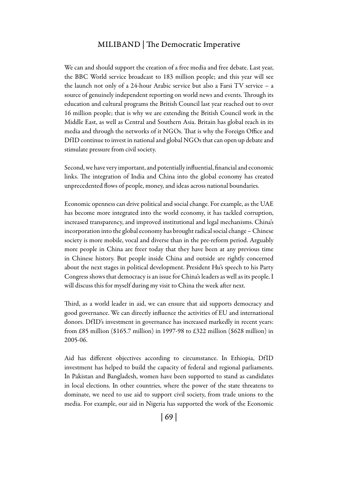We can and should support the creation of a free media and free debate. Last year, the BBC World service broadcast to 183 million people; and this year will see the launch not only of a 24-hour Arabic service but also a Farsi TV service – a source of genuinely independent reporting on world news and events. Through its education and cultural programs the British Council last year reached out to over 16 million people; that is why we are extending the British Council work in the Middle East, as well as Central and Southern Asia. Britain has global reach in its media and through the networks of it NGOs. That is why the Foreign Office and DfID continue to invest in national and global NGOs that can open up debate and stimulate pressure from civil society.

Second, we have very important, and potentially influential, financial and economic links. The integration of India and China into the global economy has created unprecedented flows of people, money, and ideas across national boundaries.

Economic openness can drive political and social change. For example, as the UAE has become more integrated into the world economy, it has tackled corruption, increased transparency, and improved institutional and legal mechanisms. China's incorporation into the global economy has brought radical social change – Chinese society is more mobile, vocal and diverse than in the pre-reform period. Arguably more people in China are freer today that they have been at any previous time in Chinese history. But people inside China and outside are rightly concerned about the next stages in political development. President Hu's speech to his Party Congress shows that democracy is an issue for China's leaders as well as its people. I will discuss this for myself during my visit to China the week after next.

Third, as a world leader in aid, we can ensure that aid supports democracy and good governance. We can directly influence the activities of EU and international donors. DfID's investment in governance has increased markedly in recent years: from £85 million (\$165.7 million) in 1997-98 to £322 million (\$628 million) in 2005-06.

Aid has different objectives according to circumstance. In Ethiopia, DfID investment has helped to build the capacity of federal and regional parliaments. In Pakistan and Bangladesh, women have been supported to stand as candidates in local elections. In other countries, where the power of the state threatens to dominate, we need to use aid to support civil society, from trade unions to the media. For example, our aid in Nigeria has supported the work of the Economic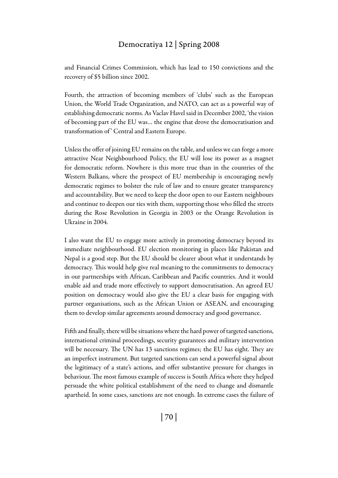and Financial Crimes Commission, which has lead to 150 convictions and the recovery of \$5 billion since 2002.

Fourth, the attraction of becoming members of 'clubs' such as the European Union, the World Trade Organization, and NATO, can act as a powerful way of establishing democratic norms. As Vaclav Havel said in December 2002, 'the vision of becoming part of the EU was… the engine that drove the democratisation and transformation of' Central and Eastern Europe.

Unless the offer of joining EU remains on the table, and unless we can forge a more attractive Near Neighbourhood Policy, the EU will lose its power as a magnet for democratic reform. Nowhere is this more true than in the countries of the Western Balkans, where the prospect of EU membership is encouraging newly democratic regimes to bolster the rule of law and to ensure greater transparency and accountability. But we need to keep the door open to our Eastern neighbours and continue to deepen our ties with them, supporting those who filled the streets during the Rose Revolution in Georgia in 2003 or the Orange Revolution in Ukraine in 2004.

I also want the EU to engage more actively in promoting democracy beyond its immediate neighbourhood. EU election monitoring in places like Pakistan and Nepal is a good step. But the EU should be clearer about what it understands by democracy. This would help give real meaning to the commitments to democracy in our partnerships with African, Caribbean and Pacific countries. And it would enable aid and trade more effectively to support democratisation. An agreed EU position on democracy would also give the EU a clear basis for engaging with partner organisations, such as the African Union or ASEAN, and encouraging them to develop similar agreements around democracy and good governance.

Fifth and finally, there will be situations where the hard power of targeted sanctions, international criminal proceedings, security guarantees and military intervention will be necessary. The UN has 13 sanctions regimes; the EU has eight. They are an imperfect instrument. But targeted sanctions can send a powerful signal about the legitimacy of a state's actions, and offer substantive pressure for changes in behaviour. The most famous example of success is South Africa where they helped persuade the white political establishment of the need to change and dismantle apartheid. In some cases, sanctions are not enough. In extreme cases the failure of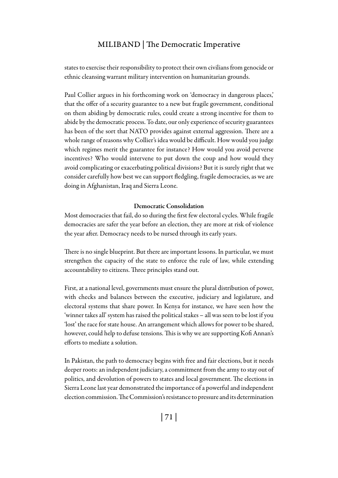states to exercise their responsibility to protect their own civilians from genocide or ethnic cleansing warrant military intervention on humanitarian grounds.

Paul Collier argues in his forthcoming work on 'democracy in dangerous places,' that the offer of a security guarantee to a new but fragile government, conditional on them abiding by democratic rules, could create a strong incentive for them to abide by the democratic process. To date, our only experience of security guarantees has been of the sort that NATO provides against external aggression. There are a whole range of reasons why Collier's idea would be difficult. How would you judge which regimes merit the guarantee for instance? How would you avoid perverse incentives? Who would intervene to put down the coup and how would they avoid complicating or exacerbating political divisions? But it is surely right that we consider carefully how best we can support fledgling, fragile democracies, as we are doing in Afghanistan, Iraq and Sierra Leone.

#### Democratic Consolidation

Most democracies that fail, do so during the first few electoral cycles. While fragile democracies are safer the year before an election, they are more at risk of violence the year after. Democracy needs to be nursed through its early years.

There is no single blueprint. But there are important lessons. In particular, we must strengthen the capacity of the state to enforce the rule of law, while extending accountability to citizens. Three principles stand out.

First, at a national level, governments must ensure the plural distribution of power, with checks and balances between the executive, judiciary and legislature, and electoral systems that share power. In Kenya for instance, we have seen how the 'winner takes all' system has raised the political stakes – all was seen to be lost if you 'lost' the race for state house. An arrangement which allows for power to be shared, however, could help to defuse tensions. This is why we are supporting Kofi Annan's efforts to mediate a solution.

In Pakistan, the path to democracy begins with free and fair elections, but it needs deeper roots: an independent judiciary, a commitment from the army to stay out of politics, and devolution of powers to states and local government. The elections in Sierra Leone last year demonstrated the importance of a powerful and independent election commission. The Commission's resistance to pressure and its determination

| 71 |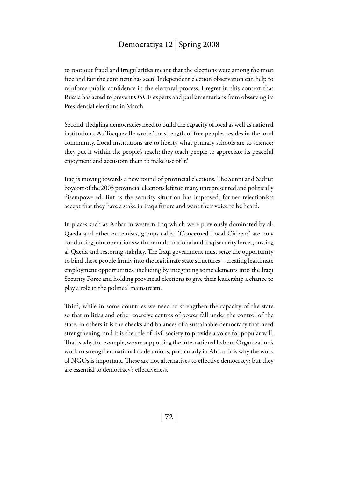to root out fraud and irregularities meant that the elections were among the most free and fair the continent has seen. Independent election observation can help to reinforce public confidence in the electoral process. I regret in this context that Russia has acted to prevent OSCE experts and parliamentarians from observing its Presidential elections in March.

Second, fledgling democracies need to build the capacity of local as well as national institutions. As Tocqueville wrote 'the strength of free peoples resides in the local community. Local institutions are to liberty what primary schools are to science; they put it within the people's reach; they teach people to appreciate its peaceful enjoyment and accustom them to make use of it.'

Iraq is moving towards a new round of provincial elections. The Sunni and Sadrist boycott of the 2005 provincial elections left too many unrepresented and politically disempowered. But as the security situation has improved, former rejectionists accept that they have a stake in Iraq's future and want their voice to be heard.

In places such as Anbar in western Iraq which were previously dominated by al-Qaeda and other extremists, groups called 'Concerned Local Citizens' are now conducting joint operations with the multi-national and Iraqi security forces, ousting al-Qaeda and restoring stability. The Iraqi government must seize the opportunity to bind these people firmly into the legitimate state structures – creating legitimate employment opportunities, including by integrating some elements into the Iraqi Security Force and holding provincial elections to give their leadership a chance to play a role in the political mainstream.

Third, while in some countries we need to strengthen the capacity of the state so that militias and other coercive centres of power fall under the control of the state, in others it is the checks and balances of a sustainable democracy that need strengthening, and it is the role of civil society to provide a voice for popular will. That is why, for example, we are supporting the International Labour Organization's work to strengthen national trade unions, particularly in Africa. It is why the work of NGOs is important. These are not alternatives to effective democracy; but they are essential to democracy's effectiveness.